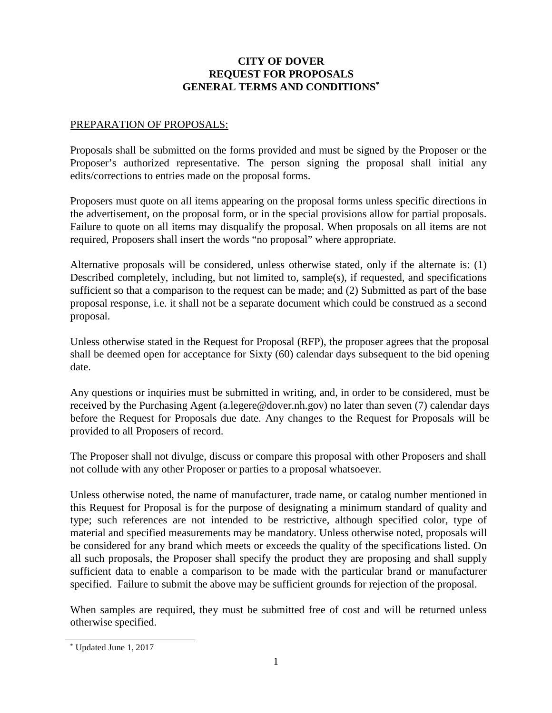# **CITY OF DOVER REQUEST FOR PROPOSALS GENERAL TERMS AND CONDITION[S\\*](#page-0-0)**

### PREPARATION OF PROPOSALS:

Proposals shall be submitted on the forms provided and must be signed by the Proposer or the Proposer's authorized representative. The person signing the proposal shall initial any edits/corrections to entries made on the proposal forms.

Proposers must quote on all items appearing on the proposal forms unless specific directions in the advertisement, on the proposal form, or in the special provisions allow for partial proposals. Failure to quote on all items may disqualify the proposal. When proposals on all items are not required, Proposers shall insert the words "no proposal" where appropriate.

Alternative proposals will be considered, unless otherwise stated, only if the alternate is: (1) Described completely, including, but not limited to, sample $(s)$ , if requested, and specifications sufficient so that a comparison to the request can be made; and (2) Submitted as part of the base proposal response, i.e. it shall not be a separate document which could be construed as a second proposal.

Unless otherwise stated in the Request for Proposal (RFP), the proposer agrees that the proposal shall be deemed open for acceptance for Sixty (60) calendar days subsequent to the bid opening date.

Any questions or inquiries must be submitted in writing, and, in order to be considered, must be received by the Purchasing Agent (a.legere@dover.nh.gov) no later than seven (7) calendar days before the Request for Proposals due date. Any changes to the Request for Proposals will be provided to all Proposers of record.

The Proposer shall not divulge, discuss or compare this proposal with other Proposers and shall not collude with any other Proposer or parties to a proposal whatsoever.

Unless otherwise noted, the name of manufacturer, trade name, or catalog number mentioned in this Request for Proposal is for the purpose of designating a minimum standard of quality and type; such references are not intended to be restrictive, although specified color, type of material and specified measurements may be mandatory. Unless otherwise noted, proposals will be considered for any brand which meets or exceeds the quality of the specifications listed. On all such proposals, the Proposer shall specify the product they are proposing and shall supply sufficient data to enable a comparison to be made with the particular brand or manufacturer specified. Failure to submit the above may be sufficient grounds for rejection of the proposal.

When samples are required, they must be submitted free of cost and will be returned unless otherwise specified.

<span id="page-0-0"></span><sup>\*</sup> Updated June 1, 2017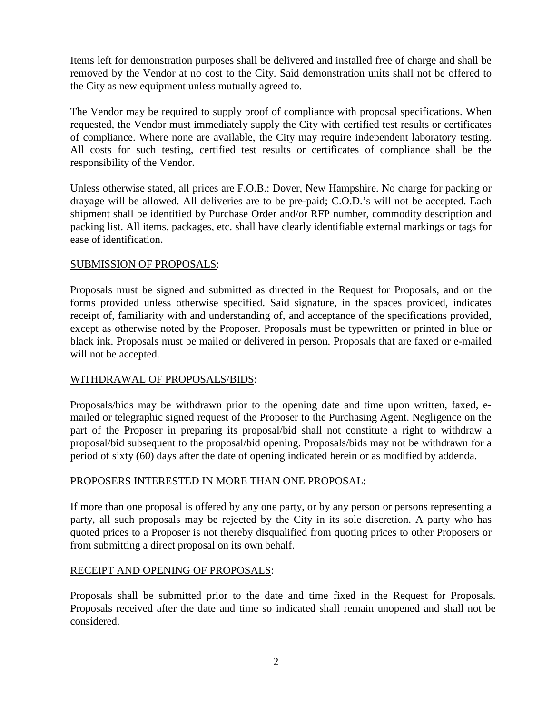Items left for demonstration purposes shall be delivered and installed free of charge and shall be removed by the Vendor at no cost to the City. Said demonstration units shall not be offered to the City as new equipment unless mutually agreed to.

The Vendor may be required to supply proof of compliance with proposal specifications. When requested, the Vendor must immediately supply the City with certified test results or certificates of compliance. Where none are available, the City may require independent laboratory testing. All costs for such testing, certified test results or certificates of compliance shall be the responsibility of the Vendor.

Unless otherwise stated, all prices are F.O.B.: Dover, New Hampshire. No charge for packing or drayage will be allowed. All deliveries are to be pre-paid; C.O.D.'s will not be accepted. Each shipment shall be identified by Purchase Order and/or RFP number, commodity description and packing list. All items, packages, etc. shall have clearly identifiable external markings or tags for ease of identification.

# SUBMISSION OF PROPOSALS:

Proposals must be signed and submitted as directed in the Request for Proposals, and on the forms provided unless otherwise specified. Said signature, in the spaces provided, indicates receipt of, familiarity with and understanding of, and acceptance of the specifications provided, except as otherwise noted by the Proposer. Proposals must be typewritten or printed in blue or black ink. Proposals must be mailed or delivered in person. Proposals that are faxed or e-mailed will not be accepted.

### WITHDRAWAL OF PROPOSALS/BIDS:

Proposals/bids may be withdrawn prior to the opening date and time upon written, faxed, emailed or telegraphic signed request of the Proposer to the Purchasing Agent. Negligence on the part of the Proposer in preparing its proposal/bid shall not constitute a right to withdraw a proposal/bid subsequent to the proposal/bid opening. Proposals/bids may not be withdrawn for a period of sixty (60) days after the date of opening indicated herein or as modified by addenda.

### PROPOSERS INTERESTED IN MORE THAN ONE PROPOSAL:

If more than one proposal is offered by any one party, or by any person or persons representing a party, all such proposals may be rejected by the City in its sole discretion. A party who has quoted prices to a Proposer is not thereby disqualified from quoting prices to other Proposers or from submitting a direct proposal on its own behalf.

### RECEIPT AND OPENING OF PROPOSALS:

Proposals shall be submitted prior to the date and time fixed in the Request for Proposals. Proposals received after the date and time so indicated shall remain unopened and shall not be considered.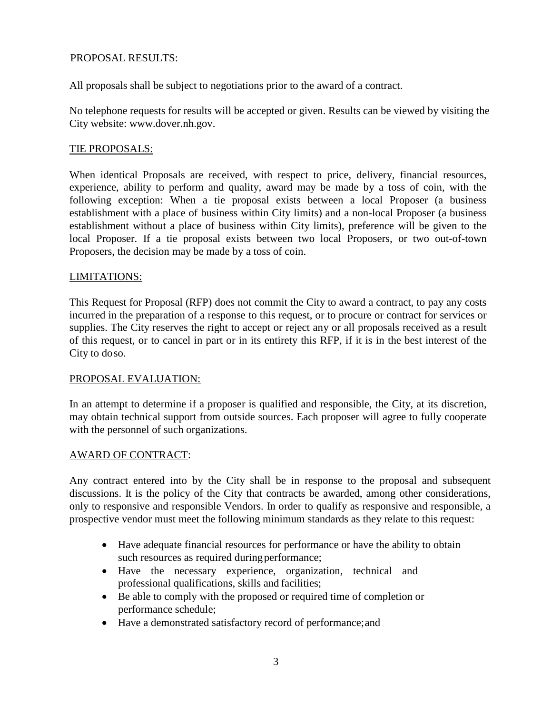### PROPOSAL RESULTS:

All proposals shall be subject to negotiations prior to the award of a contract.

No telephone requests for results will be accepted or given. Results can be viewed by visiting the City website: [www.dover.nh.gov.](http://www.dover.nh.gov/)

### TIE PROPOSALS:

When identical Proposals are received, with respect to price, delivery, financial resources, experience, ability to perform and quality, award may be made by a toss of coin, with the following exception: When a tie proposal exists between a local Proposer (a business establishment with a place of business within City limits) and a non-local Proposer (a business establishment without a place of business within City limits), preference will be given to the local Proposer. If a tie proposal exists between two local Proposers, or two out-of-town Proposers, the decision may be made by a toss of coin.

# LIMITATIONS:

This Request for Proposal (RFP) does not commit the City to award a contract, to pay any costs incurred in the preparation of a response to this request, or to procure or contract for services or supplies. The City reserves the right to accept or reject any or all proposals received as a result of this request, or to cancel in part or in its entirety this RFP, if it is in the best interest of the City to doso.

### PROPOSAL EVALUATION:

In an attempt to determine if a proposer is qualified and responsible, the City, at its discretion, may obtain technical support from outside sources. Each proposer will agree to fully cooperate with the personnel of such organizations.

### AWARD OF CONTRACT:

Any contract entered into by the City shall be in response to the proposal and subsequent discussions. It is the policy of the City that contracts be awarded, among other considerations, only to responsive and responsible Vendors. In order to qualify as responsive and responsible, a prospective vendor must meet the following minimum standards as they relate to this request:

- Have adequate financial resources for performance or have the ability to obtain such resources as required during performance;
- Have the necessary experience, organization, technical and professional qualifications, skills and facilities;
- Be able to comply with the proposed or required time of completion or performance schedule;
- Have a demonstrated satisfactory record of performance;and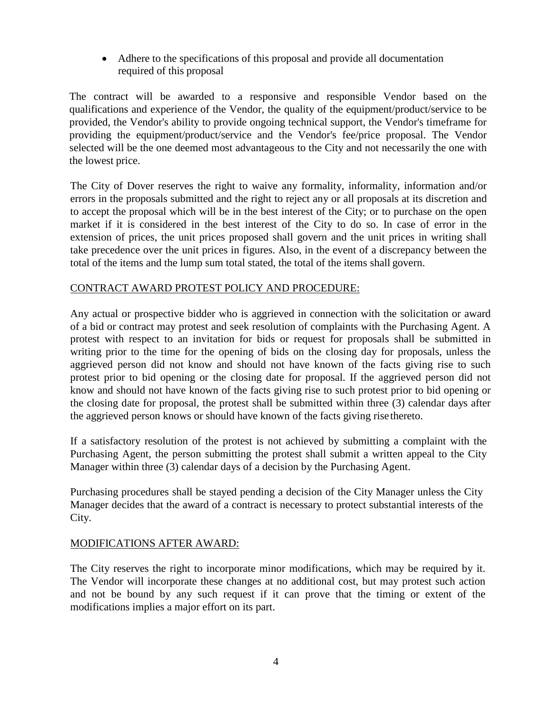• Adhere to the specifications of this proposal and provide all documentation required of this proposal

The contract will be awarded to a responsive and responsible Vendor based on the qualifications and experience of the Vendor, the quality of the equipment/product/service to be provided, the Vendor's ability to provide ongoing technical support, the Vendor's timeframe for providing the equipment/product/service and the Vendor's fee/price proposal. The Vendor selected will be the one deemed most advantageous to the City and not necessarily the one with the lowest price.

The City of Dover reserves the right to waive any formality, informality, information and/or errors in the proposals submitted and the right to reject any or all proposals at its discretion and to accept the proposal which will be in the best interest of the City; or to purchase on the open market if it is considered in the best interest of the City to do so. In case of error in the extension of prices, the unit prices proposed shall govern and the unit prices in writing shall take precedence over the unit prices in figures. Also, in the event of a discrepancy between the total of the items and the lump sum total stated, the total of the items shall govern.

# CONTRACT AWARD PROTEST POLICY AND PROCEDURE:

Any actual or prospective bidder who is aggrieved in connection with the solicitation or award of a bid or contract may protest and seek resolution of complaints with the Purchasing Agent. A protest with respect to an invitation for bids or request for proposals shall be submitted in writing prior to the time for the opening of bids on the closing day for proposals, unless the aggrieved person did not know and should not have known of the facts giving rise to such protest prior to bid opening or the closing date for proposal. If the aggrieved person did not know and should not have known of the facts giving rise to such protest prior to bid opening or the closing date for proposal, the protest shall be submitted within three (3) calendar days after the aggrieved person knows or should have known of the facts giving risethereto.

If a satisfactory resolution of the protest is not achieved by submitting a complaint with the Purchasing Agent, the person submitting the protest shall submit a written appeal to the City Manager within three (3) calendar days of a decision by the Purchasing Agent.

Purchasing procedures shall be stayed pending a decision of the City Manager unless the City Manager decides that the award of a contract is necessary to protect substantial interests of the City.

### MODIFICATIONS AFTER AWARD:

The City reserves the right to incorporate minor modifications, which may be required by it. The Vendor will incorporate these changes at no additional cost, but may protest such action and not be bound by any such request if it can prove that the timing or extent of the modifications implies a major effort on its part.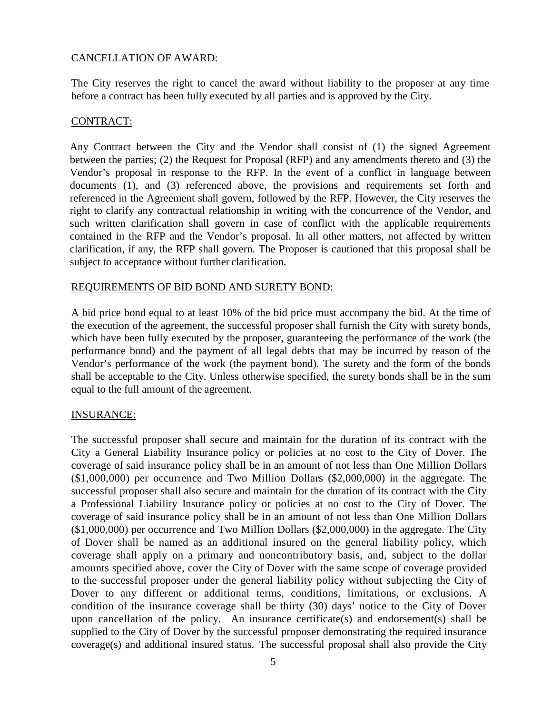# CANCELLATION OF AWARD:

The City reserves the right to cancel the award without liability to the proposer at any time before a contract has been fully executed by all parties and is approved by the City.

# CONTRACT:

Any Contract between the City and the Vendor shall consist of (1) the signed Agreement between the parties; (2) the Request for Proposal (RFP) and any amendments thereto and (3) the Vendor's proposal in response to the RFP. In the event of a conflict in language between documents (1), and (3) referenced above, the provisions and requirements set forth and referenced in the Agreement shall govern, followed by the RFP. However, the City reserves the right to clarify any contractual relationship in writing with the concurrence of the Vendor, and such written clarification shall govern in case of conflict with the applicable requirements contained in the RFP and the Vendor's proposal. In all other matters, not affected by written clarification, if any, the RFP shall govern. The Proposer is cautioned that this proposal shall be subject to acceptance without further clarification.

### REQUIREMENTS OF BID BOND AND SURETY BOND:

A bid price bond equal to at least 10% of the bid price must accompany the bid. At the time of the execution of the agreement, the successful proposer shall furnish the City with surety bonds, which have been fully executed by the proposer, guaranteeing the performance of the work (the performance bond) and the payment of all legal debts that may be incurred by reason of the Vendor's performance of the work (the payment bond). The surety and the form of the bonds shall be acceptable to the City. Unless otherwise specified, the surety bonds shall be in the sum equal to the full amount of the agreement.

### INSURANCE:

The successful proposer shall secure and maintain for the duration of its contract with the City a General Liability Insurance policy or policies at no cost to the City of Dover. The coverage of said insurance policy shall be in an amount of not less than One Million Dollars (\$1,000,000) per occurrence and Two Million Dollars (\$2,000,000) in the aggregate. The successful proposer shall also secure and maintain for the duration of its contract with the City a Professional Liability Insurance policy or policies at no cost to the City of Dover. The coverage of said insurance policy shall be in an amount of not less than One Million Dollars (\$1,000,000) per occurrence and Two Million Dollars (\$2,000,000) in the aggregate. The City of Dover shall be named as an additional insured on the general liability policy, which coverage shall apply on a primary and noncontributory basis, and, subject to the dollar amounts specified above, cover the City of Dover with the same scope of coverage provided to the successful proposer under the general liability policy without subjecting the City of Dover to any different or additional terms, conditions, limitations, or exclusions. A condition of the insurance coverage shall be thirty (30) days' notice to the City of Dover upon cancellation of the policy. An insurance certificate(s) and endorsement(s) shall be supplied to the City of Dover by the successful proposer demonstrating the required insurance coverage(s) and additional insured status. The successful proposal shall also provide the City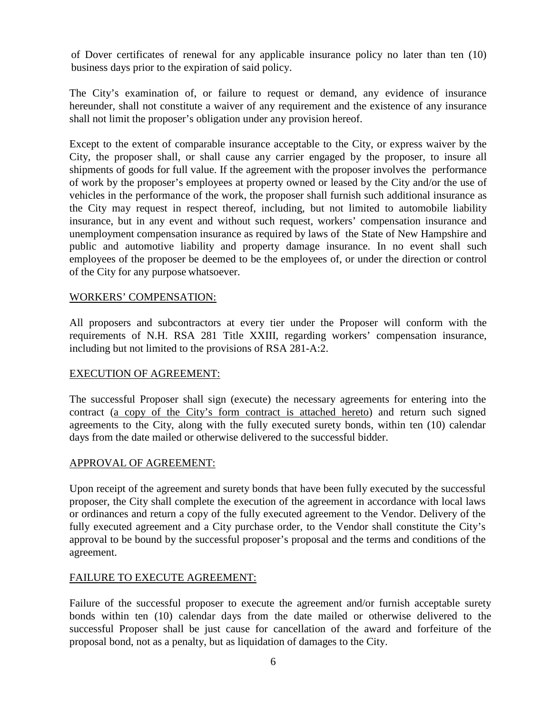of Dover certificates of renewal for any applicable insurance policy no later than ten (10) business days prior to the expiration of said policy.

The City's examination of, or failure to request or demand, any evidence of insurance hereunder, shall not constitute a waiver of any requirement and the existence of any insurance shall not limit the proposer's obligation under any provision hereof.

Except to the extent of comparable insurance acceptable to the City, or express waiver by the City, the proposer shall, or shall cause any carrier engaged by the proposer, to insure all shipments of goods for full value. If the agreement with the proposer involves the performance of work by the proposer's employees at property owned or leased by the City and/or the use of vehicles in the performance of the work, the proposer shall furnish such additional insurance as the City may request in respect thereof, including, but not limited to automobile liability insurance, but in any event and without such request, workers' compensation insurance and unemployment compensation insurance as required by laws of the State of New Hampshire and public and automotive liability and property damage insurance. In no event shall such employees of the proposer be deemed to be the employees of, or under the direction or control of the City for any purpose whatsoever.

# WORKERS' COMPENSATION:

All proposers and subcontractors at every tier under the Proposer will conform with the requirements of N.H. RSA 281 Title XXIII, regarding workers' compensation insurance, including but not limited to the provisions of RSA 281-A:2.

### EXECUTION OF AGREEMENT:

The successful Proposer shall sign (execute) the necessary agreements for entering into the contract (a copy of the City's form contract is attached hereto) and return such signed agreements to the City, along with the fully executed surety bonds, within ten (10) calendar days from the date mailed or otherwise delivered to the successful bidder.

# APPROVAL OF AGREEMENT:

Upon receipt of the agreement and surety bonds that have been fully executed by the successful proposer, the City shall complete the execution of the agreement in accordance with local laws or ordinances and return a copy of the fully executed agreement to the Vendor. Delivery of the fully executed agreement and a City purchase order, to the Vendor shall constitute the City's approval to be bound by the successful proposer's proposal and the terms and conditions of the agreement.

# FAILURE TO EXECUTE AGREEMENT:

Failure of the successful proposer to execute the agreement and/or furnish acceptable surety bonds within ten (10) calendar days from the date mailed or otherwise delivered to the successful Proposer shall be just cause for cancellation of the award and forfeiture of the proposal bond, not as a penalty, but as liquidation of damages to the City.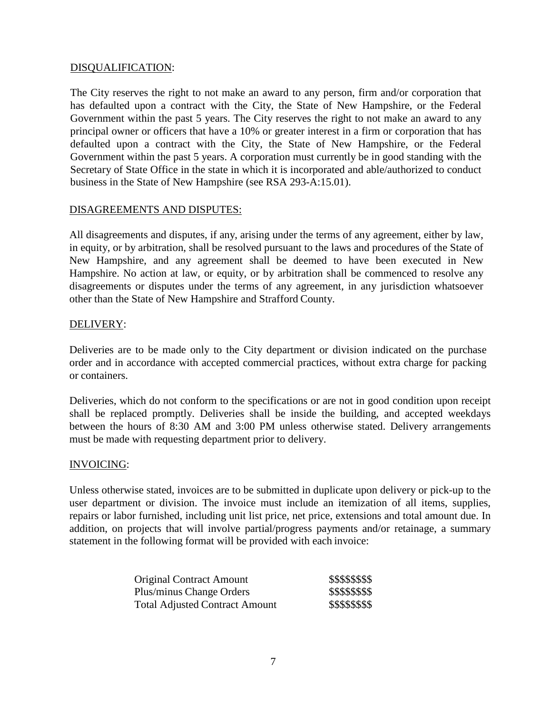### DISQUALIFICATION:

The City reserves the right to not make an award to any person, firm and/or corporation that has defaulted upon a contract with the City, the State of New Hampshire, or the Federal Government within the past 5 years. The City reserves the right to not make an award to any principal owner or officers that have a 10% or greater interest in a firm or corporation that has defaulted upon a contract with the City, the State of New Hampshire, or the Federal Government within the past 5 years. A corporation must currently be in good standing with the Secretary of State Office in the state in which it is incorporated and able/authorized to conduct business in the State of New Hampshire (see RSA 293-A:15.01).

### DISAGREEMENTS AND DISPUTES:

All disagreements and disputes, if any, arising under the terms of any agreement, either by law, in equity, or by arbitration, shall be resolved pursuant to the laws and procedures of the State of New Hampshire, and any agreement shall be deemed to have been executed in New Hampshire. No action at law, or equity, or by arbitration shall be commenced to resolve any disagreements or disputes under the terms of any agreement, in any jurisdiction whatsoever other than the State of New Hampshire and Strafford County.

#### DELIVERY:

Deliveries are to be made only to the City department or division indicated on the purchase order and in accordance with accepted commercial practices, without extra charge for packing or containers.

Deliveries, which do not conform to the specifications or are not in good condition upon receipt shall be replaced promptly. Deliveries shall be inside the building, and accepted weekdays between the hours of 8:30 AM and 3:00 PM unless otherwise stated. Delivery arrangements must be made with requesting department prior to delivery.

#### INVOICING:

Unless otherwise stated, invoices are to be submitted in duplicate upon delivery or pick-up to the user department or division. The invoice must include an itemization of all items, supplies, repairs or labor furnished, including unit list price, net price, extensions and total amount due. In addition, on projects that will involve partial/progress payments and/or retainage, a summary statement in the following format will be provided with each invoice:

| <b>Original Contract Amount</b>       | \$\$\$\$\$\$\$\$ |
|---------------------------------------|------------------|
| Plus/minus Change Orders              | \$\$\$\$\$\$\$\$ |
| <b>Total Adjusted Contract Amount</b> | \$\$\$\$\$\$\$\$ |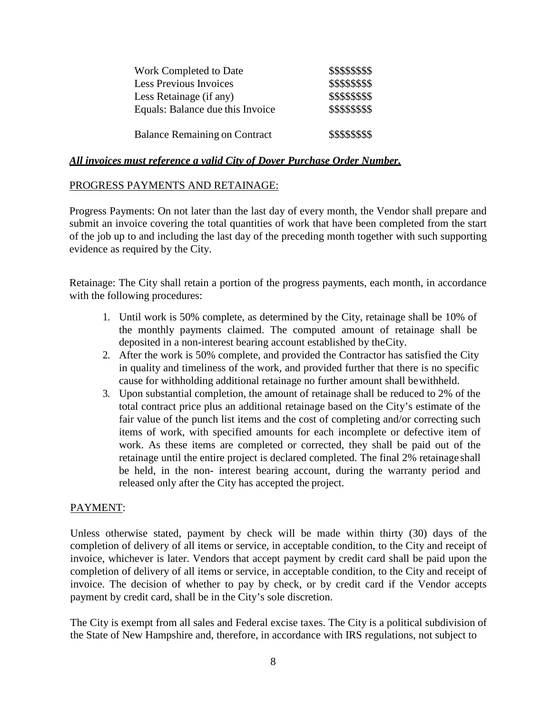| Work Completed to Date               | \$\$\$\$\$\$\$\$ |
|--------------------------------------|------------------|
| <b>Less Previous Invoices</b>        | \$\$\$\$\$\$\$\$ |
| Less Retainage (if any)              | \$\$\$\$\$\$\$\$ |
| Equals: Balance due this Invoice     | \$\$\$\$\$\$\$\$ |
|                                      |                  |
| <b>Balance Remaining on Contract</b> | \$\$\$\$\$\$\$\$ |

### *All invoices must reference a valid City of Dover Purchase Order Number.*

# PROGRESS PAYMENTS AND RETAINAGE:

Progress Payments: On not later than the last day of every month, the Vendor shall prepare and submit an invoice covering the total quantities of work that have been completed from the start of the job up to and including the last day of the preceding month together with such supporting evidence as required by the City.

Retainage: The City shall retain a portion of the progress payments, each month, in accordance with the following procedures:

- 1. Until work is 50% complete, as determined by the City, retainage shall be 10% of the monthly payments claimed. The computed amount of retainage shall be deposited in a non-interest bearing account established by theCity.
- 2. After the work is 50% complete, and provided the Contractor has satisfied the City in quality and timeliness of the work, and provided further that there is no specific cause for withholding additional retainage no further amount shall bewithheld.
- 3. Upon substantial completion, the amount of retainage shall be reduced to 2% of the total contract price plus an additional retainage based on the City's estimate of the fair value of the punch list items and the cost of completing and/or correcting such items of work, with specified amounts for each incomplete or defective item of work. As these items are completed or corrected, they shall be paid out of the retainage until the entire project is declared completed. The final 2% retainage shall be held, in the non- interest bearing account, during the warranty period and released only after the City has accepted the project.

### PAYMENT:

Unless otherwise stated, payment by check will be made within thirty (30) days of the completion of delivery of all items or service, in acceptable condition, to the City and receipt of invoice, whichever is later. Vendors that accept payment by credit card shall be paid upon the completion of delivery of all items or service, in acceptable condition, to the City and receipt of invoice. The decision of whether to pay by check, or by credit card if the Vendor accepts payment by credit card, shall be in the City's sole discretion.

The City is exempt from all sales and Federal excise taxes. The City is a political subdivision of the State of New Hampshire and, therefore, in accordance with IRS regulations, not subject to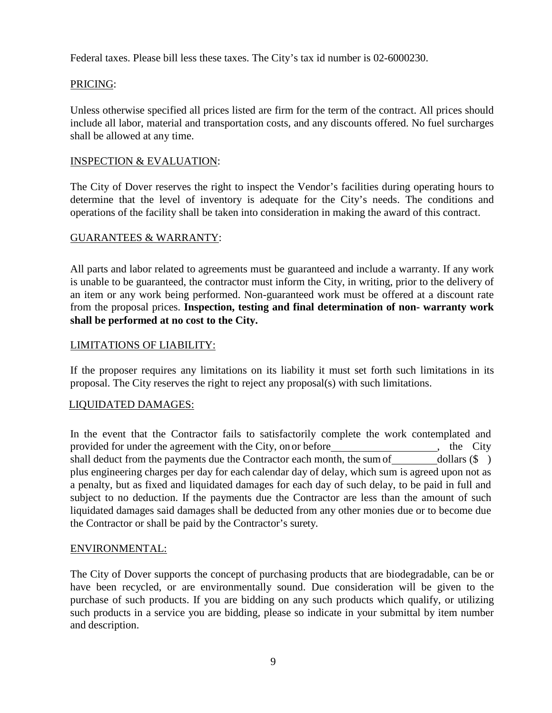Federal taxes. Please bill less these taxes. The City's tax id number is 02-6000230.

# PRICING:

Unless otherwise specified all prices listed are firm for the term of the contract. All prices should include all labor, material and transportation costs, and any discounts offered. No fuel surcharges shall be allowed at any time.

# INSPECTION & EVALUATION:

The City of Dover reserves the right to inspect the Vendor's facilities during operating hours to determine that the level of inventory is adequate for the City's needs. The conditions and operations of the facility shall be taken into consideration in making the award of this contract.

# GUARANTEES & WARRANTY:

All parts and labor related to agreements must be guaranteed and include a warranty. If any work is unable to be guaranteed, the contractor must inform the City, in writing, prior to the delivery of an item or any work being performed. Non-guaranteed work must be offered at a discount rate from the proposal prices. **Inspection, testing and final determination of non- warranty work shall be performed at no cost to the City.**

### LIMITATIONS OF LIABILITY:

If the proposer requires any limitations on its liability it must set forth such limitations in its proposal. The City reserves the right to reject any proposal(s) with such limitations.

### LIQUIDATED DAMAGES:

In the event that the Contractor fails to satisfactorily complete the work contemplated and provided for under the agreement with the City, on or before , the City shall deduct from the payments due the Contractor each month, the sum of dollars  $(\$$ ) plus engineering charges per day for each calendar day of delay, which sum is agreed upon not as a penalty, but as fixed and liquidated damages for each day of such delay, to be paid in full and subject to no deduction. If the payments due the Contractor are less than the amount of such liquidated damages said damages shall be deducted from any other monies due or to become due the Contractor or shall be paid by the Contractor's surety.

### ENVIRONMENTAL:

The City of Dover supports the concept of purchasing products that are biodegradable, can be or have been recycled, or are environmentally sound. Due consideration will be given to the purchase of such products. If you are bidding on any such products which qualify, or utilizing such products in a service you are bidding, please so indicate in your submittal by item number and description.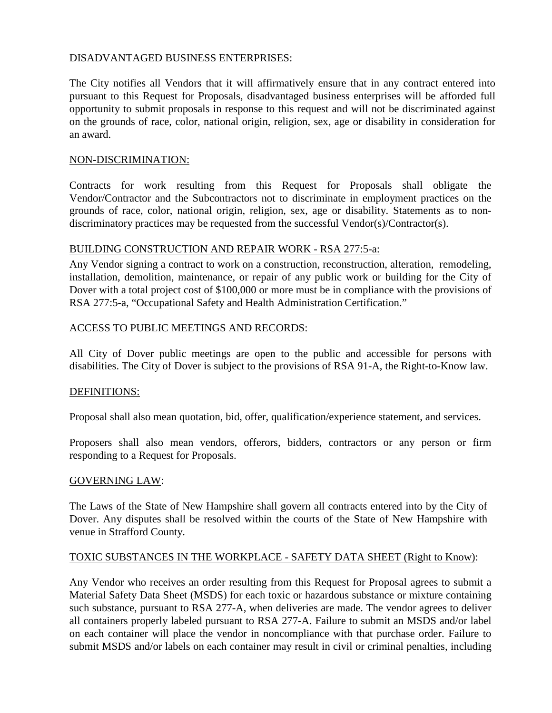### DISADVANTAGED BUSINESS ENTERPRISES:

The City notifies all Vendors that it will affirmatively ensure that in any contract entered into pursuant to this Request for Proposals, disadvantaged business enterprises will be afforded full opportunity to submit proposals in response to this request and will not be discriminated against on the grounds of race, color, national origin, religion, sex, age or disability in consideration for an award.

### NON-DISCRIMINATION:

Contracts for work resulting from this Request for Proposals shall obligate the Vendor/Contractor and the Subcontractors not to discriminate in employment practices on the grounds of race, color, national origin, religion, sex, age or disability. Statements as to nondiscriminatory practices may be requested from the successful Vendor(s)/Contractor(s).

# BUILDING CONSTRUCTION AND REPAIR WORK - RSA 277:5-a:

Any Vendor signing a contract to work on a construction, reconstruction, alteration, remodeling, installation, demolition, maintenance, or repair of any public work or building for the City of Dover with a total project cost of \$100,000 or more must be in compliance with the provisions of RSA 277:5-a, "Occupational Safety and Health Administration Certification."

# ACCESS TO PUBLIC MEETINGS AND RECORDS:

All City of Dover public meetings are open to the public and accessible for persons with disabilities. The City of Dover is subject to the provisions of RSA 91-A, the Right-to-Know law.

# DEFINITIONS:

Proposal shall also mean quotation, bid, offer, qualification/experience statement, and services.

Proposers shall also mean vendors, offerors, bidders, contractors or any person or firm responding to a Request for Proposals.

### GOVERNING LAW:

The Laws of the State of New Hampshire shall govern all contracts entered into by the City of Dover. Any disputes shall be resolved within the courts of the State of New Hampshire with venue in Strafford County.

# TOXIC SUBSTANCES IN THE WORKPLACE - SAFETY DATA SHEET (Right to Know):

Any Vendor who receives an order resulting from this Request for Proposal agrees to submit a Material Safety Data Sheet (MSDS) for each toxic or hazardous substance or mixture containing such substance, pursuant to RSA 277-A, when deliveries are made. The vendor agrees to deliver all containers properly labeled pursuant to RSA 277-A. Failure to submit an MSDS and/or label on each container will place the vendor in noncompliance with that purchase order. Failure to submit MSDS and/or labels on each container may result in civil or criminal penalties, including